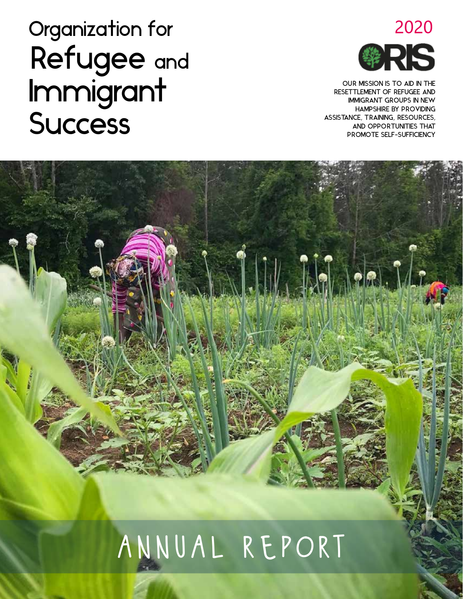### 2020 **Ж3**

OUR MISSION IS TO AID IN THE RESETTLEMENT OF REFUGEE AND IMMIGRANT GROUPS IN NEW HAMPSHIRE BY PROVIDING ASSISTANCE, TRAINING, RESOURCES, AND OPPORTUNITIES THAT PROMOTE SELF-SUFFICIENCY

J.I. I.J. J. J. J.

## Organization for Refugee and Immigrant **Success**

# annual report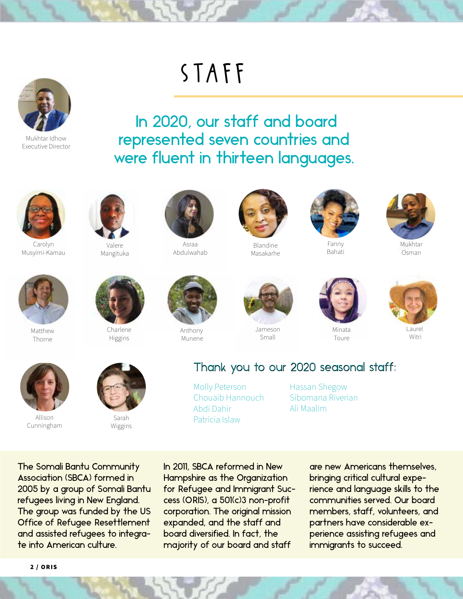

Mukhtar Idhow Executive Director

### staff

 In 2020, our staff and board represented seven countries and were fluent in thirteen languages.



Carolyn Musyimi-Kamau



Valere Mangituka



Asraa Abdulwahab



Blandine Masakarhe







Mukhtar Osman



Matthew Thorne



Charlene Higgins



Anthony Munene



Jameson Small



Minata Toure



**Laure** Witri



Allison Cunningham



Sarah Wiggins



Molly Peterson Chouaib Hannouch Abdi Dahir Patricia Islaw

Hassan Shegow Sibomana Riverian Ali Maalim

The Somali Bantu Community Association (SBCA) formed in 2005 by a group of Somali Bantu refugees living in New England. The group was funded by the US Office of Refugee Resettlement and assisted refugees to integrate into American culture.

In 2011, SBCA reformed in New Hampshire as the Organization for Refugee and Immigrant Success (ORIS), a 501(c)3 non-profit corporation. The original mission expanded, and the staff and board diversified. In fact, the majority of our board and staff

are new Americans themselves, bringing critical cultural experience and language skills to the communities served. Our board members, staff, volunteers, and partners have considerable experience assisting refugees and immigrants to succeed.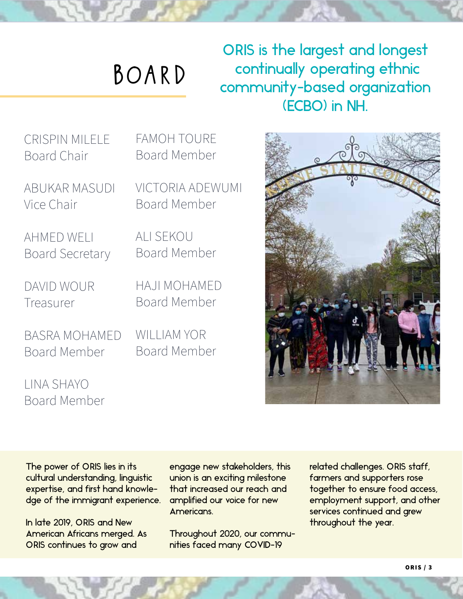# board

ORIS is the largest and longest continually operating ethnic community-based organization (ECBO) in NH.

CRISPIN MILELE Board Chair

ABUKAR MASUDI Vice Chair

AHMED WELI Board Secretary

DAVID WOUR Treasurer

BASRA MOHAMED Board Member

LINA SHAYO Board Member FAMOH TOURE Board Member

VICTORIA ADEWUMI Board Member

ALI SEKOU Board Member

HAJI MOHAMED Board Member

WILLIAM YOR Board Member



The power of ORIS lies in its cultural understanding, linguistic expertise, and first hand knowledge of the immigrant experience.

In late 2019, ORIS and New American Africans merged. As ORIS continues to grow and

engage new stakeholders, this union is an exciting milestone that increased our reach and amplified our voice for new Americans.

Throughout 2020, our communities faced many COVID-19

related challenges. ORIS staff, farmers and supporters rose together to ensure food access, employment support, and other services continued and grew throughout the year.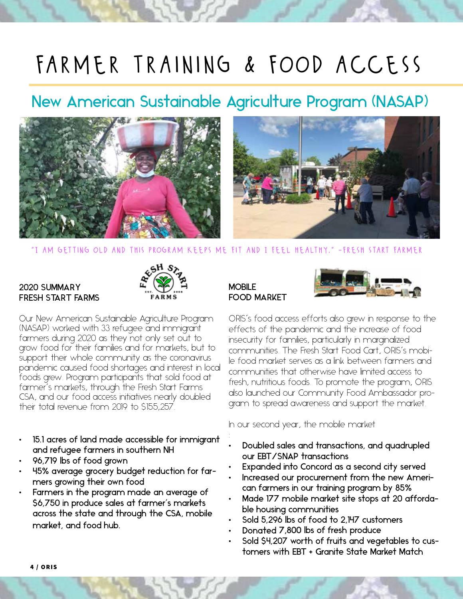### farmer training & food access

### New American Sustainable Agriculture Program (NASAP)



"I am getting old and this program keeps me fit and I feel healthy." -fresh start farmer

#### 2020 SUMMARY FRESH START FARMS



Our New American Sustainable Agriculture Program (NASAP) worked with 33 refugee and immigrant farmers during 2020 as they not only set out to grow food for their families and for markets, but to support their whole community as the coronavirus pandemic caused food shortages and interest in local foods grew. Program participants that sold food at farmer's markets, through the Fresh Start Farms CSA, and our food access initiatives nearly doubled their total revenue from 2019 to \$155,257.

- 15.1 acres of land made accessible for immigrant and refugee farmers in southern NH
- 96,719 lbs of food grown
- 45% average grocery budget reduction for farmers growing their own food
- Farmers in the program made an average of \$6,750 in produce sales at farmer's markets across the state and through the CSA, mobile market, and food hub.

#### **MOBILE** FOOD MARKET



Development Hunger Relief ORIS's food access efforts also grew in response to the effects of the pandemic and the increase of food insecurity for families, particularly in marginalized communities. The Fresh Start Food Cart, ORIS's mobile food market serves as a link between farmers and communities that otherwise have limited access to fresh, nutritious foods. To promote the program, ORIS also launched our Community Food Ambassador program to spread awareness and support the market.

In our second year, the mobile market

- Doubled sales and transactions, and quadrupled our EBT/SNAP transactions
- Expanded into Concord as a second city served
- Increased our procurement from the new American farmers in our training program by 85%
- Made 177 mobile market site stops at 20 affordable housing communities
- Sold 5,296 lbs of food to 2,147 customers
- Donated 7,800 lbs of fresh produce
- Sold \$4,207 worth of fruits and vegetables to customers with EBT + Granite State Market Match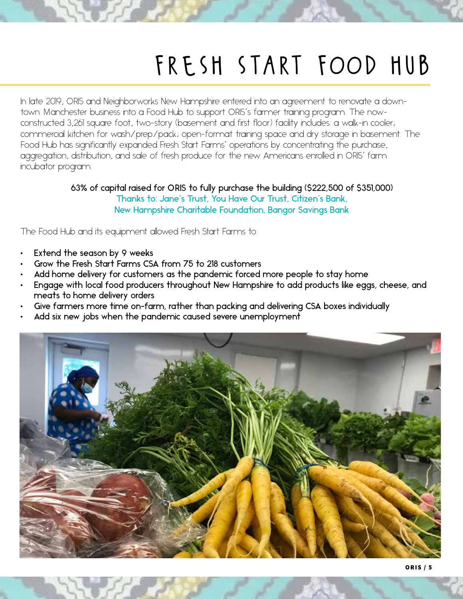### fresh start food hub

In late 2019, ORIS and Neighborworks New Hampshire entered into an agreement to renovate a downtown Manchester business into a Food Hub to support ORIS's farmer training program. The nowconstructed 3,261 square foot, two-story (basement and first floor) facility includes: a walk-in cooler; commercial kitchen for wash/prep/pack; open-format training space and dry storage in basement. The Food Hub has significantly expanded Fresh Start Farms' operations by concentrating the purchase, aggregation, distribution, and sale of fresh produce for the new Americans enrolled in ORIS' farm incubator program.

> 63% of capital raised for ORIS to fully purchase the building (\$222,500 of \$351,000) Thanks to: Jane's Trust, You Have Our Trust, Citizen's Bank, New Hampshire Charitable Foundation, Bangor Savings Bank

The Food Hub and its equipment allowed Fresh Start Farms to:

- Extend the season by 9 weeks
- Grow the Fresh Start Farms CSA from 75 to 218 customers
- Add home delivery for customers as the pandemic forced more people to stay home
- Engage with local food producers throughout New Hampshire to add products like eggs, cheese, and meats to home delivery orders
- Give farmers more time on-farm, rather than packing and delivering CSA boxes individually
- Add six new jobs when the pandemic caused severe unemployment

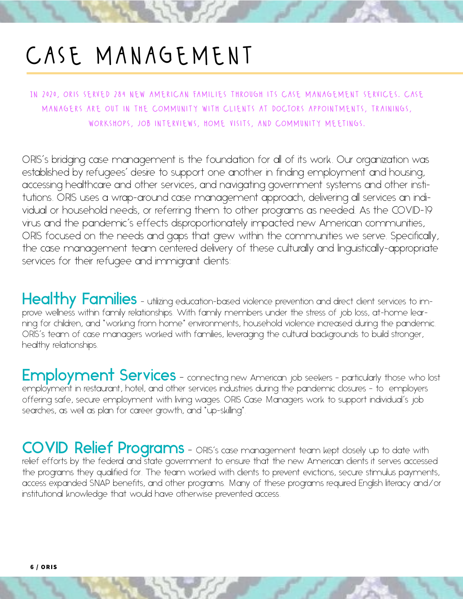### case management

In 2020, oris served 284 new american families through its case management services. case managers are out in the community with clients at doctors appointments, trainings, workshops, job interviews, home visits, and community meetings.

ORIS's bridging case management is the foundation for all of its work. Our organization was established by refugees' desire to support one another in finding employment and housing, accessing healthcare and other services, and navigating government systems and other institutions. ORIS uses a wrap-around case management approach, delivering all services an individual or household needs, or referring them to other programs as needed. As the COVID-19 virus and the pandemic's effects disproportionately impacted new American communities, ORIS focused on the needs and gaps that grew within the communities we serve. Specifically, the case management team centered delivery of these culturally and linguistically-appropriate services for their refugee and immigrant clients:

Healthy Families - utilizing education-based violence prevention and direct client services to improve wellness within family relationships. With family members under the stress of job loss, at-home learning for children, and "working from home" environments, household violence increased during the pandemic. ORIS's team of case managers worked with families, leveraging the cultural backgrounds to build stronger, healthy relationships.

Employment Services - connecting new American job seekers - particularly those who lost employment in restaurant, hotel, and other services industries during the pandemic closures – to employers offering safe, secure employment with living wages. ORIS Case Managers work to support individual's job searches, as well as plan for career growth, and "up-skilling".

COVID Relief Programs – ORIS's case management team kept closely up to date with relief efforts by the federal and state government to ensure that the new American clients it serves accessed the programs they qualified for. The team worked with clients to prevent evictions, secure stimulus payments, access expanded SNAP benefits, and other programs. Many of these programs required English literacy and/or institutional knowledge that would have otherwise prevented access.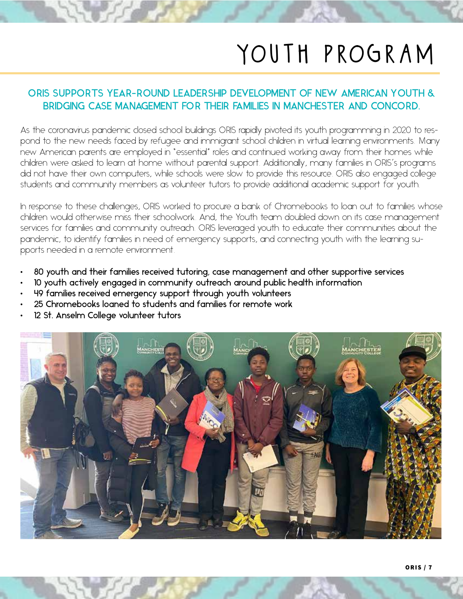### youth program

#### ORIS SUPPORTS YEAR-ROUND LEADERSHIP DEVELOPMENT OF NEW AMERICAN YOUTH & BRIDGING CASE MANAGEMENT FOR THEIR FAMILIES IN MANCHESTER AND CONCORD.

As the coronavirus pandemic closed school buildings ORIS rapidly pivoted its youth programming in 2020 to respond to the new needs faced by refugee and immigrant school children in virtual learning environments. Many new American parents are employed in "essential" roles and continued working away from their homes while children were asked to learn at home without parental support. Additionally, many families in ORIS's programs did not have their own computers, while schools were slow to provide this resource. ORIS also engaged college students and community members as volunteer tutors to provide additional academic support for youth.

In response to these challenges, ORIS worked to procure a bank of Chromebooks to loan out to families whose children would otherwise miss their schoolwork. And, the Youth team doubled down on its case management services for families and community outreach. ORIS leveraged youth to educate their communities about the pandemic, to identify families in need of emergency supports, and connecting youth with the learning supports needed in a remote environment.

- 80 youth and their families received tutoring, case management and other supportive services
- 10 youth actively engaged in community outreach around public health information
- 49 families received emergency support through youth volunteers
- 25 Chromebooks loaned to students and families for remote work
- 12 St. Anselm College volunteer tutors

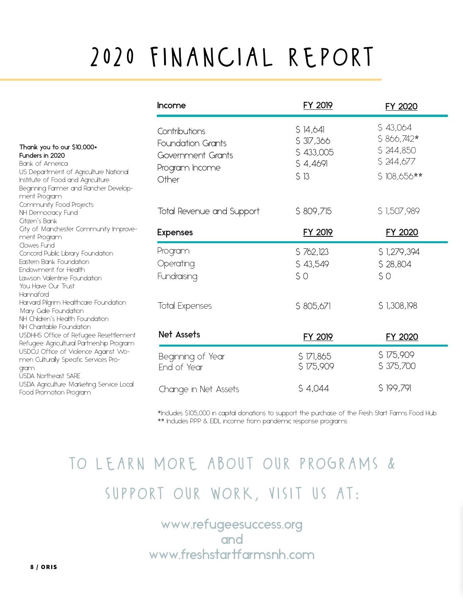## 2020 financial report

|                                                                                                                                                                                                                                                                                                       | Income                                                                                    | <b>FY 2019</b>                                         | FY 2020                                                          |
|-------------------------------------------------------------------------------------------------------------------------------------------------------------------------------------------------------------------------------------------------------------------------------------------------------|-------------------------------------------------------------------------------------------|--------------------------------------------------------|------------------------------------------------------------------|
| Thank you to our \$10,000+<br>Funders in 2020<br>Bank of America<br>US Department of Agriculture National<br>Institute of Food and Agriculture<br>Beginning Farmer and Rancher Develop-<br>ment Program                                                                                               | Contributions<br><b>Foundation Grants</b><br>Government Grants<br>Program Income<br>Other | S 14,641<br>\$37,366<br>\$433,005<br>\$4,469<br>$S$ 13 | \$43,064<br>$$866,742*$<br>\$244,850<br>\$244,677<br>\$108,656** |
| Community Food Projects<br>NH Democracy Fund<br>Citizen's Bank                                                                                                                                                                                                                                        | Total Revenue and Support                                                                 | \$809,715                                              | \$1,507,989                                                      |
| City of Manchester Community Improve-<br>ment Program                                                                                                                                                                                                                                                 | <b>Expenses</b>                                                                           | <b>FY 2019</b>                                         | FY 2020                                                          |
| Clowes Fund<br>Concord Public Library Foundation<br>Eastern Bank Foundation<br>Endowment for Health<br>Lawson Valentine Foundation<br>You Have Our Trust<br>Hannaford<br>Harvard Pilgrim Healthcare Foundation<br>Mary Gale Foundation<br>NH Children's Health Foundation<br>NH Charitable Foundation | Program<br>Operating<br>Fundraising                                                       | \$762,123<br>\$43,549<br>S <sub>O</sub>                | \$1,279,394<br>\$28,804<br>50                                    |
|                                                                                                                                                                                                                                                                                                       | <b>Total Expenses</b>                                                                     | \$805,671                                              | \$1,308,198                                                      |
| USDHHS Office of Refugee Resettlement<br>Refugee Agricultural Partnership Program                                                                                                                                                                                                                     | Net Assets                                                                                | <b>FY 2019</b>                                         | FY 2020                                                          |
| USDOJ Office of Violence Against Wo-<br>men Culturally Specific Services Pro-<br>gram<br><b>USDA Northeast SARE</b>                                                                                                                                                                                   | Beginning of Year<br>End of Year                                                          | \$171,865<br>\$175,909                                 | \$175,909<br>\$375,700                                           |
| USDA Agriculture Marketing Service Local<br>Food Promotion Program                                                                                                                                                                                                                                    | Change in Net Assets                                                                      | \$4,044                                                | \$199,791                                                        |

\*Includes \$105,000 in capital donations to support the purchase of the Fresh Start Farms Food Hub \*\* Includes PPP & EIDL income from pandemic response programs.

### to learn more about our programs & support our work, visit us at:

www.refugeesuccess.org<br>and and www.freshstartfarmsnh.com